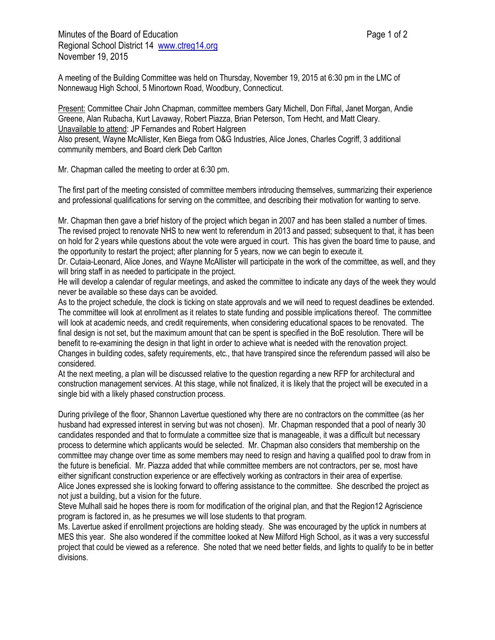Minutes of the Board of Education **Page 1 of 2** and 2 Regional School District 14 [www.ctreg14.org](http://www.ctreg14.org/) November 19, 2015

A meeting of the Building Committee was held on Thursday, November 19, 2015 at 6:30 pm in the LMC of Nonnewaug High School, 5 Minortown Road, Woodbury, Connecticut.

Present: Committee Chair John Chapman, committee members Gary Michell, Don Fiftal, Janet Morgan, Andie Greene, Alan Rubacha, Kurt Lavaway, Robert Piazza, Brian Peterson, Tom Hecht, and Matt Cleary. Unavailable to attend: JP Fernandes and Robert Halgreen Also present, Wayne McAllister, Ken Biega from O&G Industries, Alice Jones, Charles Cogriff, 3 additional community members, and Board clerk Deb Carlton

Mr. Chapman called the meeting to order at 6:30 pm.

The first part of the meeting consisted of committee members introducing themselves, summarizing their experience and professional qualifications for serving on the committee, and describing their motivation for wanting to serve.

Mr. Chapman then gave a brief history of the project which began in 2007 and has been stalled a number of times. The revised project to renovate NHS to new went to referendum in 2013 and passed; subsequent to that, it has been on hold for 2 years while questions about the vote were argued in court. This has given the board time to pause, and the opportunity to restart the project; after planning for 5 years, now we can begin to execute it.

Dr. Cutaia-Leonard, Alice Jones, and Wayne McAllister will participate in the work of the committee, as well, and they will bring staff in as needed to participate in the project.

He will develop a calendar of regular meetings, and asked the committee to indicate any days of the week they would never be available so these days can be avoided.

As to the project schedule, the clock is ticking on state approvals and we will need to request deadlines be extended. The committee will look at enrollment as it relates to state funding and possible implications thereof. The committee will look at academic needs, and credit requirements, when considering educational spaces to be renovated. The final design is not set, but the maximum amount that can be spent is specified in the BoE resolution. There will be benefit to re-examining the design in that light in order to achieve what is needed with the renovation project. Changes in building codes, safety requirements, etc., that have transpired since the referendum passed will also be considered.

At the next meeting, a plan will be discussed relative to the question regarding a new RFP for architectural and construction management services. At this stage, while not finalized, it is likely that the project will be executed in a single bid with a likely phased construction process.

During privilege of the floor, Shannon Lavertue questioned why there are no contractors on the committee (as her husband had expressed interest in serving but was not chosen). Mr. Chapman responded that a pool of nearly 30 candidates responded and that to formulate a committee size that is manageable, it was a difficult but necessary process to determine which applicants would be selected. Mr. Chapman also considers that membership on the committee may change over time as some members may need to resign and having a qualified pool to draw from in the future is beneficial. Mr. Piazza added that while committee members are not contractors, per se, most have either significant construction experience or are effectively working as contractors in their area of expertise. Alice Jones expressed she is looking forward to offering assistance to the committee. She described the project as not just a building, but a vision for the future.

Steve Mulhall said he hopes there is room for modification of the original plan, and that the Region12 Agriscience program is factored in, as he presumes we will lose students to that program.

Ms. Lavertue asked if enrollment projections are holding steady. She was encouraged by the uptick in numbers at MES this year. She also wondered if the committee looked at New Milford High School, as it was a very successful project that could be viewed as a reference. She noted that we need better fields, and lights to qualify to be in better divisions.